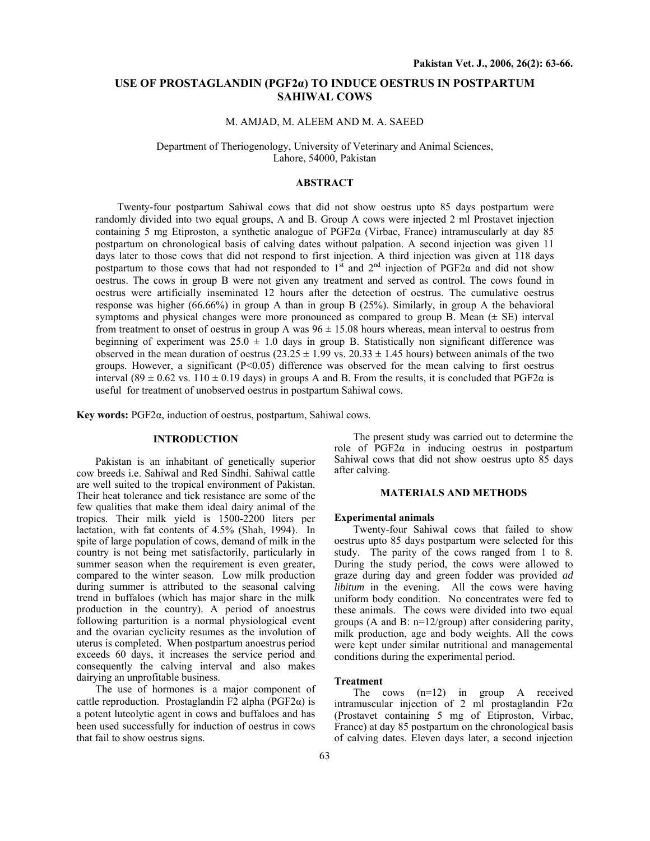# **USE OF PROSTAGLANDIN (PGF2α) TO INDUCE OESTRUS IN POSTPARTUM SAHIWAL COWS**

# M. AMJAD, M. ALEEM AND M. A. SAEED

Department of Theriogenology, University of Veterinary and Animal Sciences, Lahore, 54000, Pakistan

# **ABSTRACT**

Twenty-four postpartum Sahiwal cows that did not show oestrus upto 85 days postpartum were randomly divided into two equal groups, A and B. Group A cows were injected 2 ml Prostavet injection containing 5 mg Etiproston, a synthetic analogue of PGF2α (Virbac, France) intramuscularly at day 85 postpartum on chronological basis of calving dates without palpation. A second injection was given 11 days later to those cows that did not respond to first injection. A third injection was given at 118 days postpartum to those cows that had not responded to  $1<sup>st</sup>$  and  $2<sup>nd</sup>$  injection of PGF2 $\alpha$  and did not show oestrus. The cows in group B were not given any treatment and served as control. The cows found in oestrus were artificially inseminated 12 hours after the detection of oestrus. The cumulative oestrus response was higher (66.66%) in group A than in group B (25%). Similarly, in group A the behavioral symptoms and physical changes were more pronounced as compared to group B. Mean  $(\pm S E)$  interval from treatment to onset of oestrus in group A was  $96 \pm 15.08$  hours whereas, mean interval to oestrus from beginning of experiment was  $25.0 \pm 1.0$  days in group B. Statistically non significant difference was observed in the mean duration of oestrus  $(23.25 \pm 1.99 \text{ vs. } 20.33 \pm 1.45 \text{ hours})$  between animals of the two groups. However, a significant  $(P< 0.05)$  difference was observed for the mean calving to first oestrus interval (89  $\pm$  0.62 vs. 110  $\pm$  0.19 days) in groups A and B. From the results, it is concluded that PGF2 $\alpha$  is useful for treatment of unobserved oestrus in postpartum Sahiwal cows.

**Key words:** PGF2α, induction of oestrus, postpartum, Sahiwal cows.

## **INTRODUCTION**

Pakistan is an inhabitant of genetically superior cow breeds i.e. Sahiwal and Red Sindhi. Sahiwal cattle are well suited to the tropical environment of Pakistan. Their heat tolerance and tick resistance are some of the few qualities that make them ideal dairy animal of the tropics. Their milk yield is 1500-2200 liters per lactation, with fat contents of 4.5% (Shah, 1994). In spite of large population of cows, demand of milk in the country is not being met satisfactorily, particularly in summer season when the requirement is even greater, compared to the winter season. Low milk production during summer is attributed to the seasonal calving trend in buffaloes (which has major share in the milk production in the country). A period of anoestrus following parturition is a normal physiological event and the ovarian cyclicity resumes as the involution of uterus is completed. When postpartum anoestrus period exceeds 60 days, it increases the service period and consequently the calving interval and also makes dairying an unprofitable business.

The use of hormones is a major component of cattle reproduction. Prostaglandin F2 alpha ( $PGF2\alpha$ ) is a potent luteolytic agent in cows and buffaloes and has been used successfully for induction of oestrus in cows that fail to show oestrus signs.

The present study was carried out to determine the role of  $PGF2\alpha$  in inducing oestrus in postpartum Sahiwal cows that did not show oestrus upto 85 days after calving.

# **MATERIALS AND METHODS**

#### **Experimental animals**

Twenty-four Sahiwal cows that failed to show oestrus upto 85 days postpartum were selected for this study. The parity of the cows ranged from 1 to 8. During the study period, the cows were allowed to graze during day and green fodder was provided *ad libitum* in the evening. All the cows were having uniform body condition. No concentrates were fed to these animals. The cows were divided into two equal groups (A and B: n=12/group) after considering parity, milk production, age and body weights. All the cows were kept under similar nutritional and managemental conditions during the experimental period.

## **Treatment**

The cows (n=12) in group A received intramuscular injection of 2 ml prostaglandin  $F2\alpha$ (Prostavet containing 5 mg of Etiproston, Virbac, France) at day 85 postpartum on the chronological basis of calving dates. Eleven days later, a second injection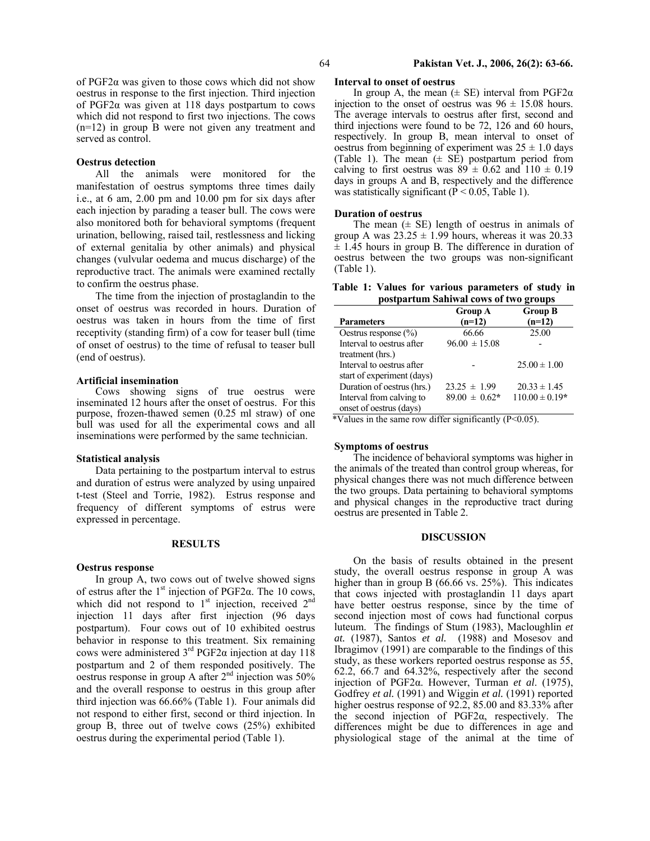of PGF2α was given to those cows which did not show oestrus in response to the first injection. Third injection of PGF2α was given at 118 days postpartum to cows which did not respond to first two injections. The cows (n=12) in group B were not given any treatment and served as control.

## **Oestrus detection**

All the animals were monitored for the manifestation of oestrus symptoms three times daily i.e., at 6 am, 2.00 pm and 10.00 pm for six days after each injection by parading a teaser bull. The cows were also monitored both for behavioral symptoms (frequent urination, bellowing, raised tail, restlessness and licking of external genitalia by other animals) and physical changes (vulvular oedema and mucus discharge) of the reproductive tract. The animals were examined rectally to confirm the oestrus phase.

The time from the injection of prostaglandin to the onset of oestrus was recorded in hours. Duration of oestrus was taken in hours from the time of first receptivity (standing firm) of a cow for teaser bull (time of onset of oestrus) to the time of refusal to teaser bull (end of oestrus).

### **Artificial insemination**

Cows showing signs of true oestrus were inseminated 12 hours after the onset of oestrus. For this purpose, frozen-thawed semen (0.25 ml straw) of one bull was used for all the experimental cows and all inseminations were performed by the same technician.

#### **Statistical analysis**

Data pertaining to the postpartum interval to estrus and duration of estrus were analyzed by using unpaired t-test (Steel and Torrie, 1982). Estrus response and frequency of different symptoms of estrus were expressed in percentage.

## **RESULTS**

### **Oestrus response**

In group A, two cows out of twelve showed signs of estrus after the 1<sup>st</sup> injection of PGF2 $\alpha$ . The 10 cows, which did not respond to  $1<sup>st</sup>$  injection, received  $2<sup>nd</sup>$ injection 11 days after first injection (96 days postpartum). Four cows out of 10 exhibited oestrus behavior in response to this treatment. Six remaining cows were administered  $3<sup>rd</sup>$  PGF2α injection at day 118 postpartum and 2 of them responded positively. The oestrus response in group A after  $2<sup>nd</sup>$  injection was 50% and the overall response to oestrus in this group after third injection was 66.66% (Table 1). Four animals did not respond to either first, second or third injection. In group B, three out of twelve cows (25%) exhibited oestrus during the experimental period (Table 1).

## 64 **Pakistan Vet. J., 2006, 26(2): 63-66.**

## **Interval to onset of oestrus**

In group A, the mean  $(\pm \text{ SE})$  interval from PGF2 $\alpha$ injection to the onset of oestrus was  $96 \pm 15.08$  hours. The average intervals to oestrus after first, second and third injections were found to be 72, 126 and 60 hours, respectively. In group B, mean interval to onset of oestrus from beginning of experiment was  $25 \pm 1.0$  days (Table 1). The mean  $(\pm \text{ SE})$  postpartum period from calving to first oestrus was  $89 \pm 0.62$  and  $110 \pm 0.19$ days in groups A and B, respectively and the difference was statistically significant ( $\overline{P}$  < 0.05, Table 1).

### **Duration of oestrus**

The mean  $(\pm \text{ SE})$  length of oestrus in animals of group A was  $23.25 \pm 1.99$  hours, whereas it was 20.33  $\pm$  1.45 hours in group B. The difference in duration of oestrus between the two groups was non-significant (Table 1).

**Table 1: Values for various parameters of study in postpartum Sahiwal cows of two groups** 

| ----                       |                            |                            |  |  |  |  |  |
|----------------------------|----------------------------|----------------------------|--|--|--|--|--|
| <b>Parameters</b>          | <b>Group A</b><br>$(n=12)$ | <b>Group B</b><br>$(n=12)$ |  |  |  |  |  |
| Oestrus response $(\% )$   | 66.66                      | 25.00                      |  |  |  |  |  |
| Interval to oestrus after  | $96.00 \pm 15.08$          |                            |  |  |  |  |  |
| treatment (hrs.)           |                            |                            |  |  |  |  |  |
| Interval to oestrus after  |                            | $25.00 \pm 1.00$           |  |  |  |  |  |
| start of experiment (days) |                            |                            |  |  |  |  |  |
| Duration of oestrus (hrs.) | $23.25 \pm 1.99$           | $20.33 \pm 1.45$           |  |  |  |  |  |
| Interval from calving to   | $89.00 \pm 0.62*$          | $110.00 \pm 0.19*$         |  |  |  |  |  |
| onset of oestrus (days)    |                            |                            |  |  |  |  |  |

\*Values in the same row differ significantly (P<0.05).

### **Symptoms of oestrus**

The incidence of behavioral symptoms was higher in the animals of the treated than control group whereas, for physical changes there was not much difference between the two groups. Data pertaining to behavioral symptoms and physical changes in the reproductive tract during oestrus are presented in Table 2.

## **DISCUSSION**

On the basis of results obtained in the present study, the overall oestrus response in group A was higher than in group B (66.66 vs. 25%). This indicates that cows injected with prostaglandin 11 days apart have better oestrus response, since by the time of second injection most of cows had functional corpus luteum. The findings of Stum (1983), Macloughlin *et at.* (1987), Santos *et al.* (1988) and Mosesov and Ibragimov (1991) are comparable to the findings of this study, as these workers reported oestrus response as 55, 62.2, 66.7 and 64.32%, respectively after the second injection of PGF2α. However, Turman *et al*. (1975), Godfrey *et al.* (1991) and Wiggin *et al.* (1991) reported higher oestrus response of 92.2, 85.00 and 83.33% after the second injection of PGF2α, respectively. The differences might be due to differences in age and physiological stage of the animal at the time of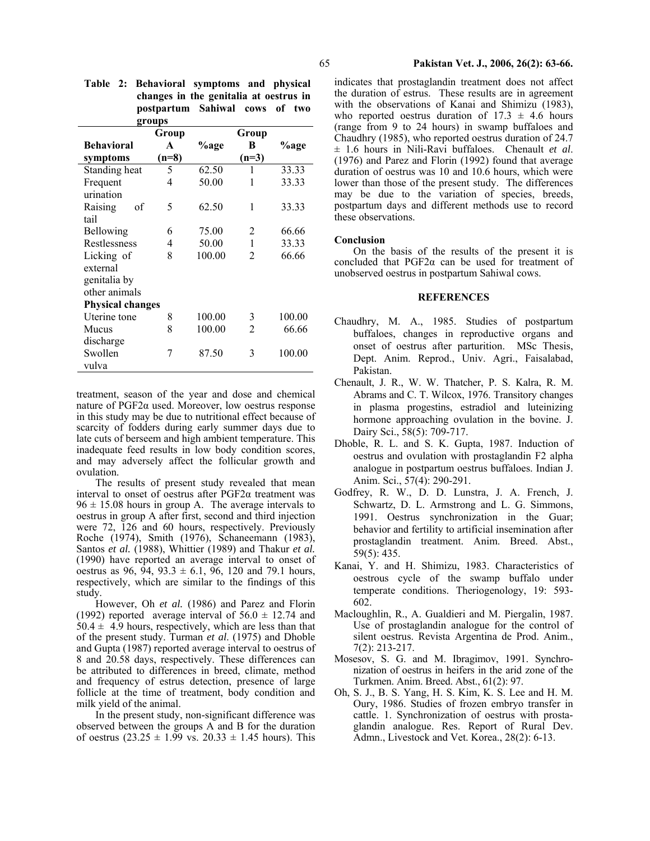| groups                  |         |        |                |        |  |  |
|-------------------------|---------|--------|----------------|--------|--|--|
|                         | Group   |        | Group          |        |  |  |
| <b>Behavioral</b>       | A       | %age   | B              | %age   |  |  |
| symptoms                | $(n=8)$ |        | $(n=3)$        |        |  |  |
| Standing heat           | 5       | 62.50  | 1              | 33.33  |  |  |
| Frequent                | 4       | 50.00  | 1              | 33.33  |  |  |
| urination               |         |        |                |        |  |  |
| Raising<br>of           | 5       | 62.50  | 1              | 33.33  |  |  |
| tail                    |         |        |                |        |  |  |
| Bellowing               | 6       | 75.00  | 2              | 66.66  |  |  |
| Restlessness            | 4       | 50.00  | 1              | 33.33  |  |  |
| Licking of              | 8       | 100.00 | $\mathfrak{D}$ | 66.66  |  |  |
| external                |         |        |                |        |  |  |
| genitalia by            |         |        |                |        |  |  |
| other animals           |         |        |                |        |  |  |
| <b>Physical changes</b> |         |        |                |        |  |  |
| Uterine tone            | 8       | 100.00 | 3              | 100.00 |  |  |
| Mucus                   | 8       | 100.00 | 2              | 66.66  |  |  |
| discharge               |         |        |                |        |  |  |
| Swollen                 | 7       | 87.50  | 3              | 100.00 |  |  |
| vulva                   |         |        |                |        |  |  |

|  | Table 2: Behavioral symptoms and physical |  |  |
|--|-------------------------------------------|--|--|
|  | changes in the genitalia at oestrus in    |  |  |
|  | postpartum Sahiwal cows of two            |  |  |
|  | $\alpha$ main $\alpha$                    |  |  |

treatment, season of the year and dose and chemical nature of PGF2α used. Moreover, low oestrus response in this study may be due to nutritional effect because of scarcity of fodders during early summer days due to late cuts of berseem and high ambient temperature. This inadequate feed results in low body condition scores, and may adversely affect the follicular growth and ovulation.

The results of present study revealed that mean interval to onset of oestrus after  $PGF2\alpha$  treatment was  $96 \pm 15.08$  hours in group A. The average intervals to oestrus in group A after first, second and third injection were 72, 126 and 60 hours, respectively. Previously Roche (1974), Smith (1976), Schaneemann (1983), Santos *et al.* (1988), Whittier (1989) and Thakur *et al.* (1990) have reported an average interval to onset of oestrus as 96, 94, 93.3  $\pm$  6.1, 96, 120 and 79.1 hours, respectively, which are similar to the findings of this study.

However, Oh *et al.* (1986) and Parez and Florin (1992) reported average interval of  $56.0 \pm 12.74$  and  $50.4 \pm 4.9$  hours, respectively, which are less than that of the present study. Turman *et al*. (1975) and Dhoble and Gupta (1987) reported average interval to oestrus of 8 and 20.58 days, respectively. These differences can be attributed to differences in breed, climate, method and frequency of estrus detection, presence of large follicle at the time of treatment, body condition and milk yield of the animal.

In the present study, non-significant difference was observed between the groups A and B for the duration of oestrus  $(23.25 \pm 1.99 \text{ vs. } 20.33 \pm 1.45 \text{ hours})$ . This indicates that prostaglandin treatment does not affect the duration of estrus. These results are in agreement with the observations of Kanai and Shimizu (1983), who reported oestrus duration of  $17.3 \pm 4.6$  hours (range from 9 to 24 hours) in swamp buffaloes and Chaudhry (1985), who reported oestrus duration of 24.7 ± 1.6 hours in Nili-Ravi buffaloes. Chenault *et al*. (1976) and Parez and Florin (1992) found that average duration of oestrus was 10 and 10.6 hours, which were lower than those of the present study. The differences may be due to the variation of species, breeds, postpartum days and different methods use to record these observations.

#### **Conclusion**

On the basis of the results of the present it is concluded that PGF2α can be used for treatment of unobserved oestrus in postpartum Sahiwal cows.

# **REFERENCES**

- Chaudhry, M. A., 1985. Studies of postpartum buffaloes, changes in reproductive organs and onset of oestrus after parturition. MSc Thesis, Dept. Anim. Reprod., Univ. Agri., Faisalabad, Pakistan.
- Chenault, J. R., W. W. Thatcher, P. S. Kalra, R. M. Abrams and C. T. Wilcox, 1976. Transitory changes in plasma progestins, estradiol and luteinizing hormone approaching ovulation in the bovine. J. Dairy Sci., 58(5): 709-717.
- Dhoble, R. L. and S. K. Gupta, 1987. Induction of oestrus and ovulation with prostaglandin F2 alpha analogue in postpartum oestrus buffaloes. Indian J. Anim. Sci., 57(4): 290-291.
- Godfrey, R. W., D. D. Lunstra, J. A. French, J. Schwartz, D. L. Armstrong and L. G. Simmons, 1991. Oestrus synchronization in the Guar; behavior and fertility to artificial insemination after prostaglandin treatment. Anim. Breed. Abst., 59(5): 435.
- Kanai, Y. and H. Shimizu, 1983. Characteristics of oestrous cycle of the swamp buffalo under temperate conditions. Theriogenology, 19: 593- 602.
- Macloughlin, R., A. Gualdieri and M. Piergalin, 1987. Use of prostaglandin analogue for the control of silent oestrus. Revista Argentina de Prod. Anim., 7(2): 213-217.
- Mosesov, S. G. and M. Ibragimov, 1991. Synchronization of oestrus in heifers in the arid zone of the Turkmen. Anim. Breed. Abst., 61(2): 97.
- Oh, S. J., B. S. Yang, H. S. Kim, K. S. Lee and H. M. Oury, 1986. Studies of frozen embryo transfer in cattle. 1. Synchronization of oestrus with prostaglandin analogue. Res. Report of Rural Dev. Admn., Livestock and Vet. Korea., 28(2): 6-13.